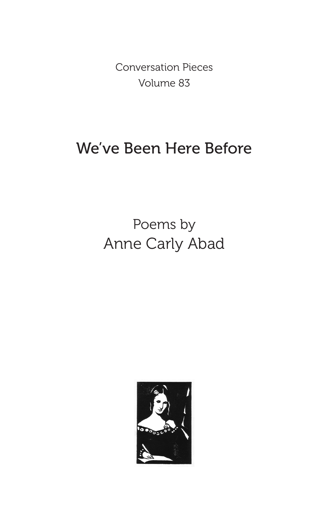Conversation Pieces Volume 83

## We've Been Here Before

# Poems by Anne Carly Abad

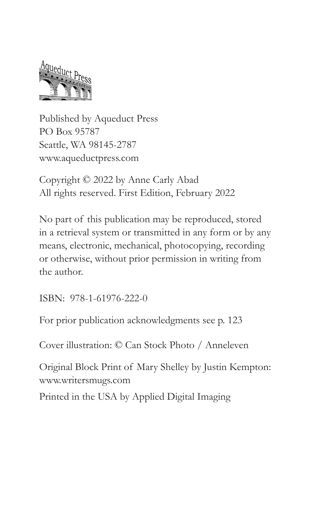

Published by Aqueduct Press PO Box 95787 Seattle, WA 98145-2787 www.aqueductpress.com

Copyright © 2022 by Anne Carly Abad All rights reserved. First Edition, February 2022

No part of this publication may be reproduced, stored in a retrieval system or transmitted in any form or by any means, electronic, mechanical, photocopying, recording or otherwise, without prior permission in writing from the author.

ISBN: 978-1-61976-222-0

For prior publication acknowledgments see p. 123

Cover illustration: © Can Stock Photo / Anneleven

Original Block Print of Mary Shelley by Justin Kempton: www.writersmugs.com

Printed in the USA by Applied Digital Imaging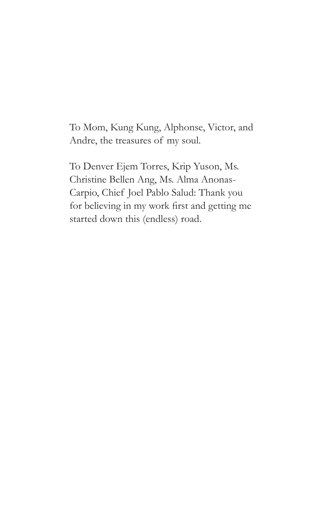To Mom, Kung Kung, Alphonse, Victor, and Andre, the treasures of my soul.

To Denver Ejem Torres, Krip Yuson, Ms. Christine Bellen Ang, Ms. Alma Anonas-Carpio, Chief Joel Pablo Salud: Thank you for believing in my work first and getting me started down this (endless) road.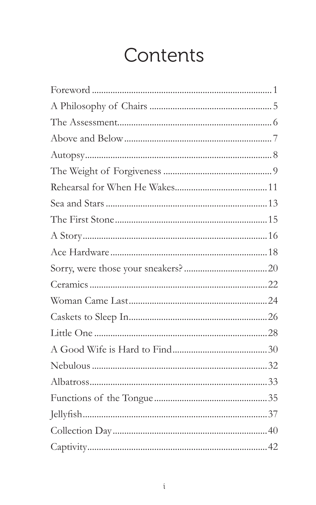# Contents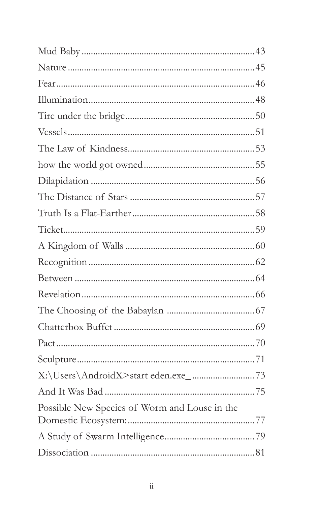| Possible New Species of Worm and Louse in the |  |
|-----------------------------------------------|--|
|                                               |  |
|                                               |  |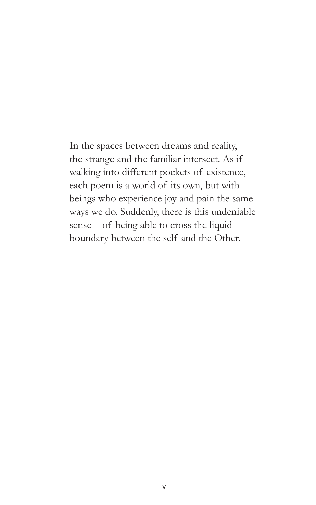In the spaces between dreams and reality, the strange and the familiar intersect. As if walking into different pockets of existence, each poem is a world of its own, but with beings who experience joy and pain the same ways we do. Suddenly, there is this undeniable sense—of being able to cross the liquid boundary between the self and the Other.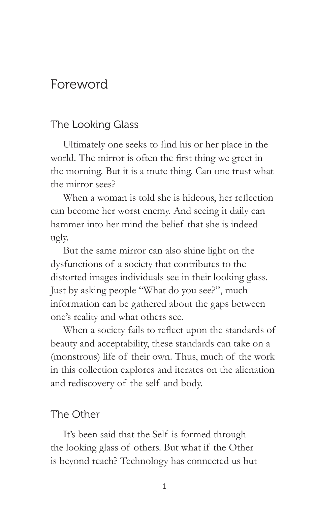#### Foreword

#### The Looking Glass

Ultimately one seeks to find his or her place in the world. The mirror is often the first thing we greet in the morning. But it is a mute thing. Can one trust what the mirror sees?

When a woman is told she is hideous, her reflection can become her worst enemy. And seeing it daily can hammer into her mind the belief that she is indeed ugly.

But the same mirror can also shine light on the dysfunctions of a society that contributes to the distorted images individuals see in their looking glass. Just by asking people "What do you see?", much information can be gathered about the gaps between one's reality and what others see.

When a society fails to reflect upon the standards of beauty and acceptability, these standards can take on a (monstrous) life of their own. Thus, much of the work in this collection explores and iterates on the alienation and rediscovery of the self and body.

#### The Other

It's been said that the Self is formed through the looking glass of others. But what if the Other is beyond reach? Technology has connected us but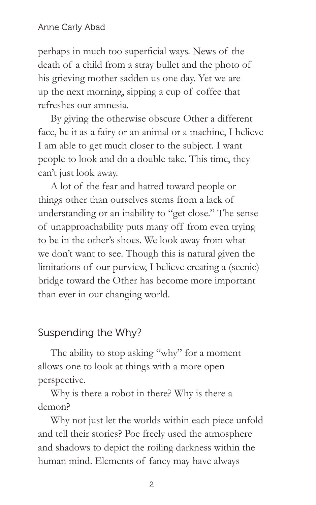perhaps in much too superficial ways. News of the death of a child from a stray bullet and the photo of his grieving mother sadden us one day. Yet we are up the next morning, sipping a cup of coffee that refreshes our amnesia.

By giving the otherwise obscure Other a different face, be it as a fairy or an animal or a machine, I believe I am able to get much closer to the subject. I want people to look and do a double take. This time, they can't just look away.

A lot of the fear and hatred toward people or things other than ourselves stems from a lack of understanding or an inability to "get close." The sense of unapproachability puts many off from even trying to be in the other's shoes. We look away from what we don't want to see. Though this is natural given the limitations of our purview, I believe creating a (scenic) bridge toward the Other has become more important than ever in our changing world.

#### Suspending the Why?

The ability to stop asking "why" for a moment allows one to look at things with a more open perspective.

Why is there a robot in there? Why is there a demon?

Why not just let the worlds within each piece unfold and tell their stories? Poe freely used the atmosphere and shadows to depict the roiling darkness within the human mind. Elements of fancy may have always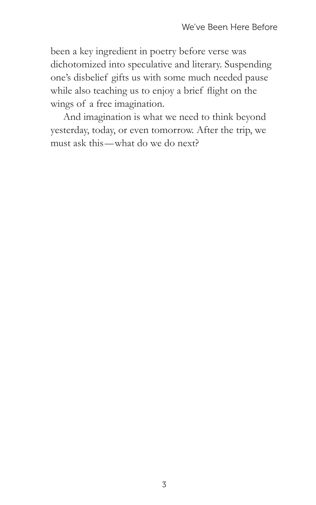been a key ingredient in poetry before verse was dichotomized into speculative and literary. Suspending one's disbelief gifts us with some much needed pause while also teaching us to enjoy a brief flight on the wings of a free imagination.

And imagination is what we need to think beyond yesterday, today, or even tomorrow. After the trip, we must ask this—what do we do next?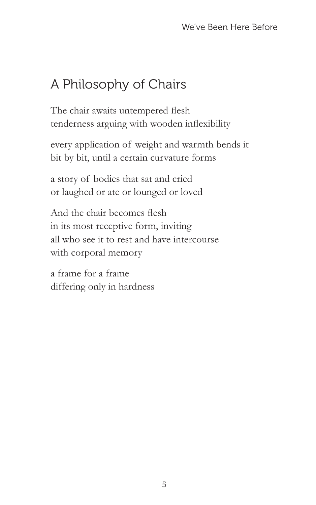### A Philosophy of Chairs

The chair awaits untempered flesh tenderness arguing with wooden inflexibility

every application of weight and warmth bends it bit by bit, until a certain curvature forms

a story of bodies that sat and cried or laughed or ate or lounged or loved

And the chair becomes flesh in its most receptive form, inviting all who see it to rest and have intercourse with corporal memory

a frame for a frame differing only in hardness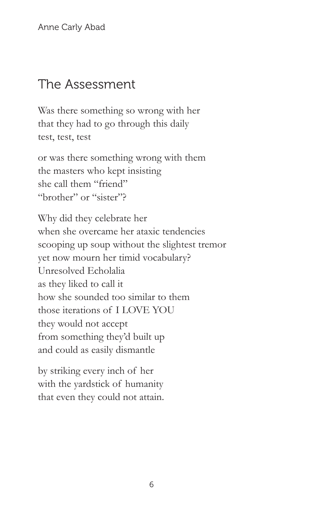#### The Assessment

Was there something so wrong with her that they had to go through this daily test, test, test

or was there something wrong with them the masters who kept insisting she call them "friend" "brother" or "sister"?

Why did they celebrate her when she overcame her ataxic tendencies scooping up soup without the slightest tremor yet now mourn her timid vocabulary? Unresolved Echolalia as they liked to call it how she sounded too similar to them those iterations of I LOVE YOU they would not accept from something they'd built up and could as easily dismantle

by striking every inch of her with the yardstick of humanity that even they could not attain.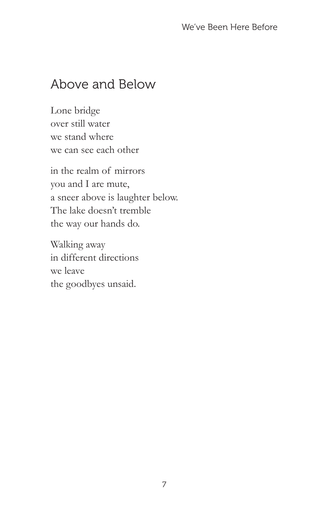#### Above and Below

Lone bridge over still water we stand where we can see each other

in the realm of mirrors you and I are mute, a sneer above is laughter below. The lake doesn't tremble the way our hands do.

Walking away in different directions we leave the goodbyes unsaid.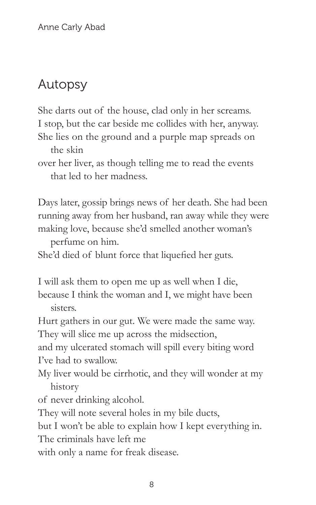### Autopsy

She darts out of the house, clad only in her screams. I stop, but the car beside me collides with her, anyway.

She lies on the ground and a purple map spreads on the skin

over her liver, as though telling me to read the events that led to her madness.

Days later, gossip brings news of her death. She had been running away from her husband, ran away while they were making love, because she'd smelled another woman's

perfume on him.

She'd died of blunt force that liquefied her guts.

I will ask them to open me up as well when I die, because I think the woman and I, we might have been sisters.

Hurt gathers in our gut. We were made the same way. They will slice me up across the midsection,

and my ulcerated stomach will spill every biting word I've had to swallow.

My liver would be cirrhotic, and they will wonder at my history

of never drinking alcohol.

They will note several holes in my bile ducts,

but I won't be able to explain how I kept everything in. The criminals have left me

with only a name for freak disease.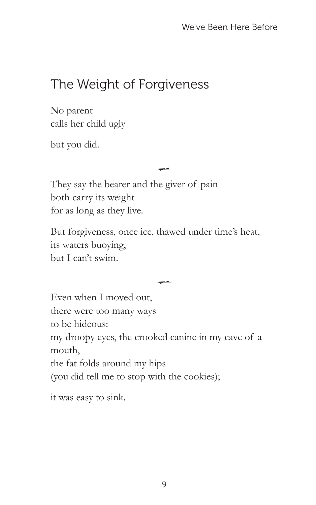### The Weight of Forgiveness

No parent calls her child ugly

but you did.

They say the bearer and the giver of pain both carry its weight for as long as they live.

But forgiveness, once ice, thawed under time's heat, its waters buoying, but I can't swim.

 $\rightarrow$ 

 $\rightarrow$ 

Even when I moved out, there were too many ways to be hideous: my droopy eyes, the crooked canine in my cave of a mouth, the fat folds around my hips (you did tell me to stop with the cookies);

it was easy to sink.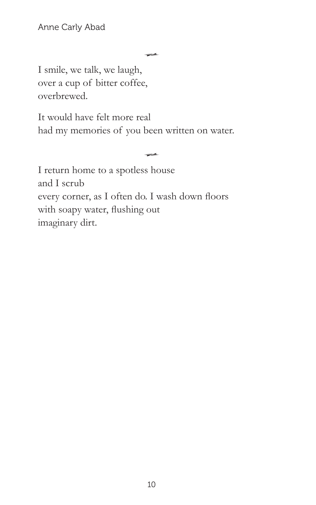$\leftrightarrow$ 

 $\leftrightarrow$ 

I smile, we talk, we laugh, over a cup of bitter coffee, overbrewed.

It would have felt more real had my memories of you been written on water.

I return home to a spotless house and I scrub every corner, as I often do. I wash down floors with soapy water, flushing out imaginary dirt.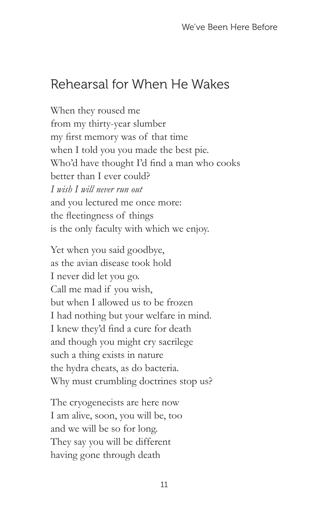#### Rehearsal for When He Wakes

When they roused me from my thirty-year slumber my first memory was of that time when I told you you made the best pie. Who'd have thought I'd find a man who cooks better than I ever could? *I wish I will never run out* and you lectured me once more: the fleetingness of things is the only faculty with which we enjoy.

Yet when you said goodbye, as the avian disease took hold I never did let you go. Call me mad if you wish, but when I allowed us to be frozen I had nothing but your welfare in mind. I knew they'd find a cure for death and though you might cry sacrilege such a thing exists in nature the hydra cheats, as do bacteria. Why must crumbling doctrines stop us?

The cryogenecists are here now I am alive, soon, you will be, too and we will be so for long. They say you will be different having gone through death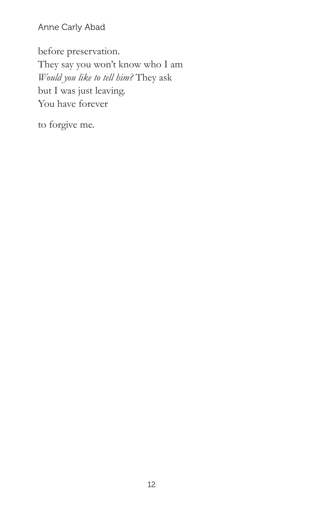Anne Carly Abad

before preservation. They say you won't know who I am *Would you like to tell him?* They ask but I was just leaving. You have forever

to forgive me.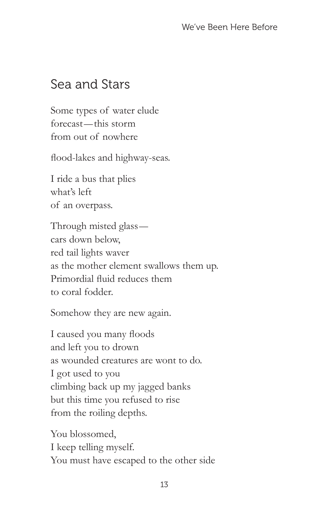#### Sea and Stars

Some types of water elude forecast—this storm from out of nowhere

flood-lakes and highway-seas.

I ride a bus that plies what's left of an overpass.

Through misted glass cars down below, red tail lights waver as the mother element swallows them up. Primordial fluid reduces them to coral fodder.

Somehow they are new again.

I caused you many floods and left you to drown as wounded creatures are wont to do. I got used to you climbing back up my jagged banks but this time you refused to rise from the roiling depths.

You blossomed, I keep telling myself. You must have escaped to the other side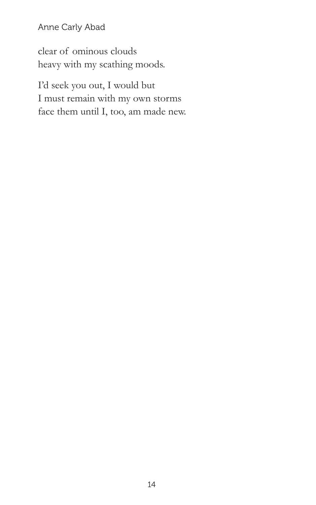Anne Carly Abad

clear of ominous clouds heavy with my scathing moods.

I'd seek you out, I would but I must remain with my own storms face them until I, too, am made new.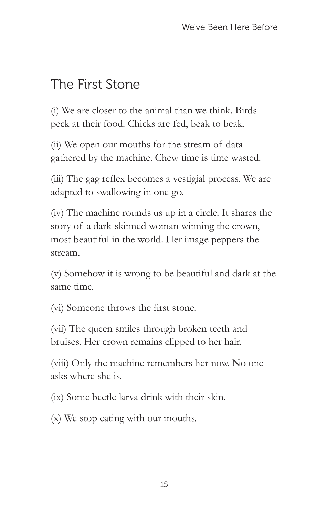### The First Stone

(i) We are closer to the animal than we think. Birds peck at their food. Chicks are fed, beak to beak.

(ii) We open our mouths for the stream of data gathered by the machine. Chew time is time wasted.

(iii) The gag reflex becomes a vestigial process. We are adapted to swallowing in one go.

(iv) The machine rounds us up in a circle. It shares the story of a dark-skinned woman winning the crown, most beautiful in the world. Her image peppers the stream.

(v) Somehow it is wrong to be beautiful and dark at the same time.

(vi) Someone throws the first stone.

(vii) The queen smiles through broken teeth and bruises. Her crown remains clipped to her hair.

(viii) Only the machine remembers her now. No one asks where she is.

(ix) Some beetle larva drink with their skin.

(x) We stop eating with our mouths.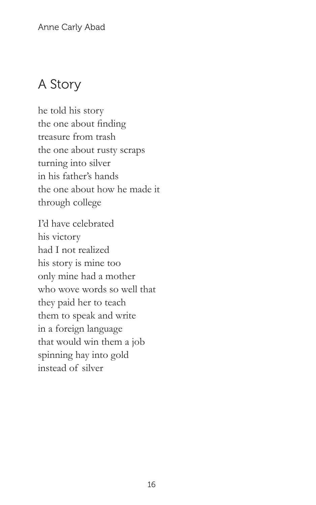### A Story

he told his story the one about finding treasure from trash the one about rusty scraps turning into silver in his father's hands the one about how he made it through college

I'd have celebrated his victory had I not realized his story is mine too only mine had a mother who wove words so well that they paid her to teach them to speak and write in a foreign language that would win them a job spinning hay into gold instead of silver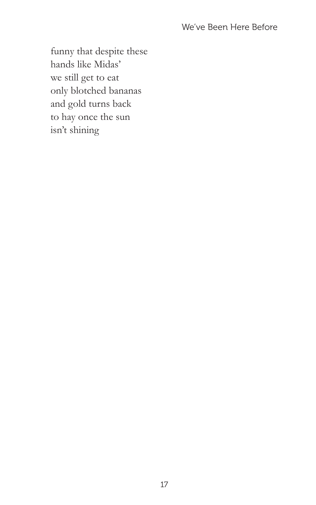funny that despite these hands like Midas' we still get to eat only blotched bananas and gold turns back to hay once the sun isn't shining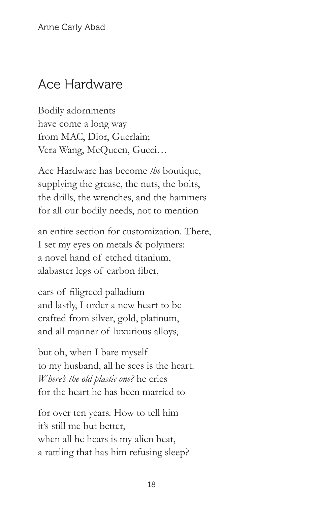### Ace Hardware

Bodily adornments have come a long way from MAC, Dior, Guerlain; Vera Wang, McQueen, Gucci…

Ace Hardware has become *the* boutique, supplying the grease, the nuts, the bolts, the drills, the wrenches, and the hammers for all our bodily needs, not to mention

an entire section for customization. There, I set my eyes on metals & polymers: a novel hand of etched titanium, alabaster legs of carbon fiber,

ears of filigreed palladium and lastly, I order a new heart to be crafted from silver, gold, platinum, and all manner of luxurious alloys,

but oh, when I bare myself to my husband, all he sees is the heart. *Where's the old plastic one?* he cries for the heart he has been married to

for over ten years. How to tell him it's still me but better, when all he hears is my alien beat, a rattling that has him refusing sleep?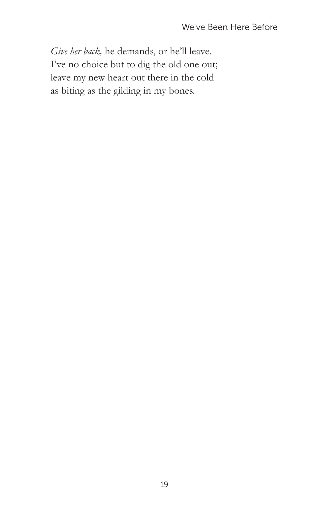*Give her back,* he demands, or he'll leave. I've no choice but to dig the old one out; leave my new heart out there in the cold as biting as the gilding in my bones.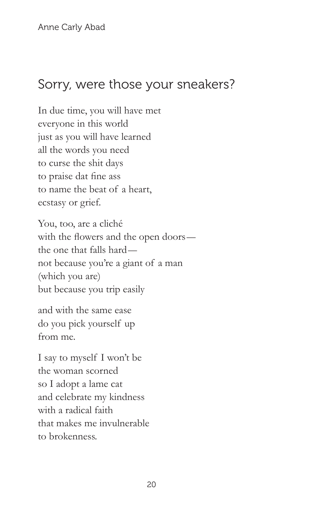#### Sorry, were those your sneakers?

In due time, you will have met everyone in this world just as you will have learned all the words you need to curse the shit days to praise dat fine ass to name the beat of a heart, ecstasy or grief.

You, too, are a cliché with the flowers and the open doors the one that falls hard not because you're a giant of a man (which you are) but because you trip easily

and with the same ease do you pick yourself up from me.

I say to myself I won't be the woman scorned so I adopt a lame cat and celebrate my kindness with a radical faith that makes me invulnerable to brokenness.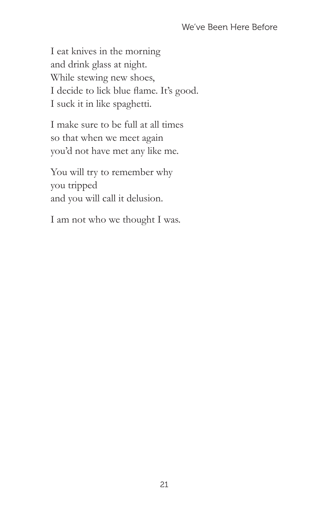I eat knives in the morning and drink glass at night. While stewing new shoes, I decide to lick blue flame. It's good. I suck it in like spaghetti.

I make sure to be full at all times so that when we meet again you'd not have met any like me.

You will try to remember why you tripped and you will call it delusion.

I am not who we thought I was.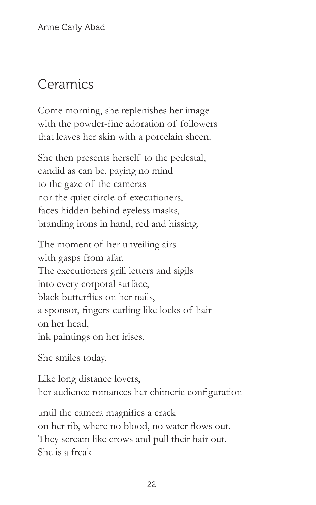### Ceramics

Come morning, she replenishes her image with the powder-fine adoration of followers that leaves her skin with a porcelain sheen.

She then presents herself to the pedestal, candid as can be, paying no mind to the gaze of the cameras nor the quiet circle of executioners, faces hidden behind eyeless masks, branding irons in hand, red and hissing.

The moment of her unveiling airs with gasps from afar. The executioners grill letters and sigils into every corporal surface, black butterflies on her nails, a sponsor, fingers curling like locks of hair on her head, ink paintings on her irises.

She smiles today.

Like long distance lovers, her audience romances her chimeric configuration

until the camera magnifies a crack on her rib, where no blood, no water flows out. They scream like crows and pull their hair out. She is a freak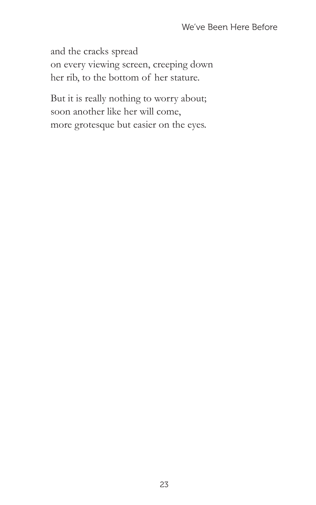and the cracks spread on every viewing screen, creeping down her rib, to the bottom of her stature.

But it is really nothing to worry about; soon another like her will come, more grotesque but easier on the eyes.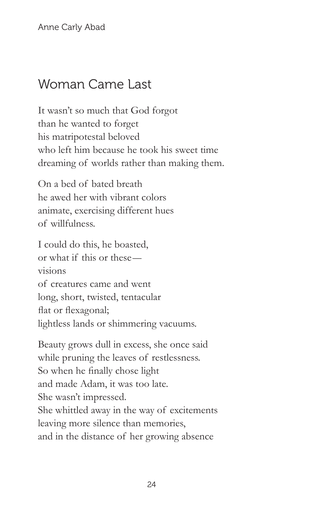Anne Carly Abad

#### Woman Came Last

It wasn't so much that God forgot than he wanted to forget his matripotestal beloved who left him because he took his sweet time dreaming of worlds rather than making them.

On a bed of bated breath he awed her with vibrant colors animate, exercising different hues of willfulness.

I could do this, he boasted, or what if this or these visions of creatures came and went long, short, twisted, tentacular flat or flexagonal; lightless lands or shimmering vacuums.

Beauty grows dull in excess, she once said while pruning the leaves of restlessness. So when he finally chose light and made Adam, it was too late. She wasn't impressed. She whittled away in the way of excitements leaving more silence than memories, and in the distance of her growing absence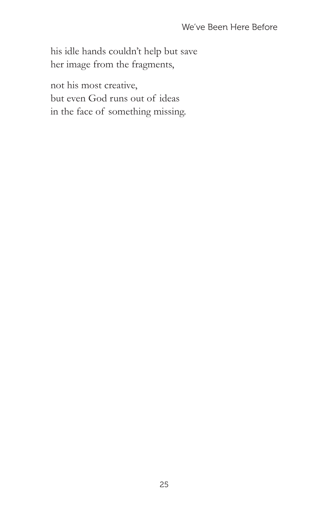his idle hands couldn't help but save her image from the fragments,

not his most creative, but even God runs out of ideas in the face of something missing.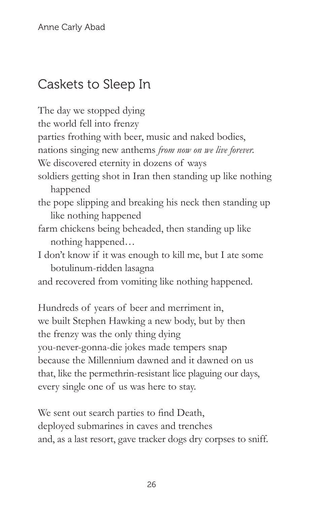### Caskets to Sleep In

The day we stopped dying the world fell into frenzy parties frothing with beer, music and naked bodies, nations singing new anthems *from now on we live forever.* We discovered eternity in dozens of ways soldiers getting shot in Iran then standing up like nothing happened the pope slipping and breaking his neck then standing up like nothing happened farm chickens being beheaded, then standing up like nothing happened… I don't know if it was enough to kill me, but I ate some botulinum-ridden lasagna and recovered from vomiting like nothing happened. Hundreds of years of beer and merriment in, we built Stephen Hawking a new body, but by then

the frenzy was the only thing dying

you-never-gonna-die jokes made tempers snap because the Millennium dawned and it dawned on us that, like the permethrin-resistant lice plaguing our days, every single one of us was here to stay.

We sent out search parties to find Death, deployed submarines in caves and trenches and, as a last resort, gave tracker dogs dry corpses to sniff.